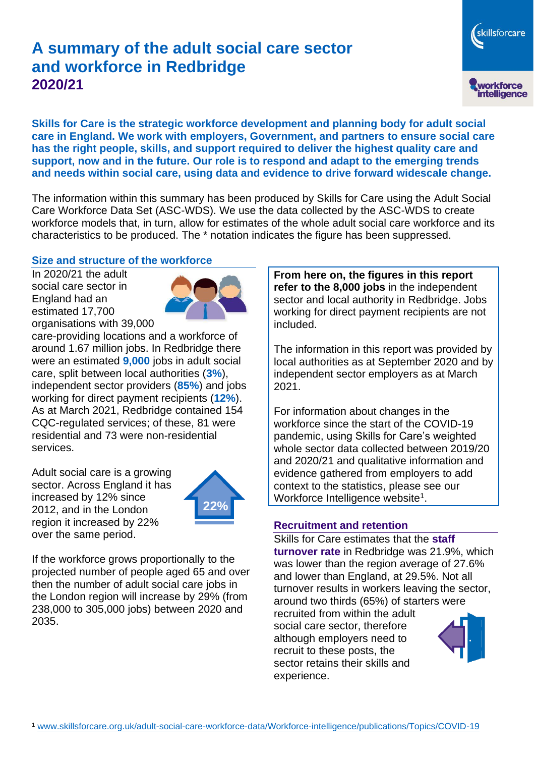# **A summary of the adult social care sector and workforce in Redbridge 2020/21**

workforce<br>intelligence

skillsforcare

**Skills for Care is the strategic workforce development and planning body for adult social care in England. We work with employers, Government, and partners to ensure social care has the right people, skills, and support required to deliver the highest quality care and support, now and in the future. Our role is to respond and adapt to the emerging trends and needs within social care, using data and evidence to drive forward widescale change.**

The information within this summary has been produced by Skills for Care using the Adult Social Care Workforce Data Set (ASC-WDS). We use the data collected by the ASC-WDS to create workforce models that, in turn, allow for estimates of the whole adult social care workforce and its characteristics to be produced. The \* notation indicates the figure has been suppressed.

#### **Size and structure of the workforce**

In 2020/21 the adult social care sector in England had an estimated 17,700 organisations with 39,000



care-providing locations and a workforce of around 1.67 million jobs. In Redbridge there were an estimated **9,000** jobs in adult social care, split between local authorities (**3%**), independent sector providers (**85%**) and jobs working for direct payment recipients (**12%**). As at March 2021, Redbridge contained 154 CQC-regulated services; of these, 81 were residential and 73 were non-residential services.

Adult social care is a growing sector. Across England it has increased by 12% since 2012, and in the London region it increased by 22% over the same period.



If the workforce grows proportionally to the projected number of people aged 65 and over then the number of adult social care jobs in the London region will increase by 29% (from 238,000 to 305,000 jobs) between 2020 and 2035.

**From here on, the figures in this report refer to the 8,000 jobs** in the independent sector and local authority in Redbridge. Jobs working for direct payment recipients are not included.

The information in this report was provided by local authorities as at September 2020 and by independent sector employers as at March 2021.

For information about changes in the workforce since the start of the COVID-19 pandemic, using Skills for Care's weighted whole sector data collected between 2019/20 and 2020/21 and qualitative information and evidence gathered from employers to add context to the statistics, please see our Workforce Intelligence website<sup>1</sup>.

#### **Recruitment and retention**

Skills for Care estimates that the **staff turnover rate** in Redbridge was 21.9%, which was lower than the region average of 27.6% and lower than England, at 29.5%. Not all turnover results in workers leaving the sector, around two thirds (65%) of starters were recruited from within the adult social care sector, therefore although employers need to recruit to these posts, the sector retains their skills and experience.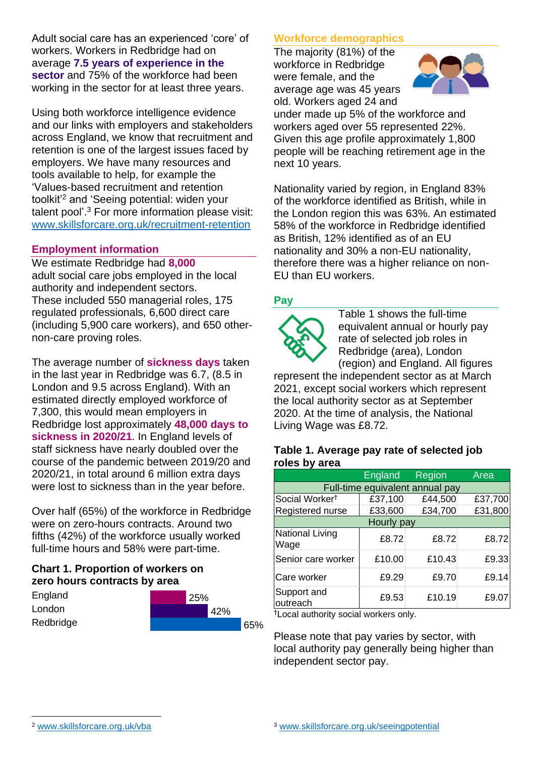Adult social care has an experienced 'core' of workers. Workers in Redbridge had on average **7.5 years of experience in the sector** and 75% of the workforce had been working in the sector for at least three years.

Using both workforce intelligence evidence and our links with employers and stakeholders across England, we know that recruitment and retention is one of the largest issues faced by employers. We have many resources and tools available to help, for example the 'Values-based recruitment and retention toolkit'<sup>2</sup> and 'Seeing potential: widen your talent pool'. <sup>3</sup> For more information please visit: [www.skillsforcare.org.uk/recruitment-retention](http://www.skillsforcare.org.uk/recruitment-retention)

#### **Employment information**

We estimate Redbridge had **8,000** adult social care jobs employed in the local authority and independent sectors. These included 550 managerial roles, 175 regulated professionals, 6,600 direct care (including 5,900 care workers), and 650 othernon-care proving roles.

The average number of **sickness days** taken in the last year in Redbridge was 6.7, (8.5 in London and 9.5 across England). With an estimated directly employed workforce of 7,300, this would mean employers in Redbridge lost approximately **48,000 days to sickness in 2020/21**. In England levels of staff sickness have nearly doubled over the course of the pandemic between 2019/20 and 2020/21, in total around 6 million extra days were lost to sickness than in the year before.

Over half (65%) of the workforce in Redbridge were on zero-hours contracts. Around two fifths (42%) of the workforce usually worked full-time hours and 58% were part-time.

### **Chart 1. Proportion of workers on zero hours contracts by area**

**England** London Redbridge



### **Workforce demographics**

The majority (81%) of the workforce in Redbridge were female, and the average age was 45 years old. Workers aged 24 and



under made up 5% of the workforce and workers aged over 55 represented 22%. Given this age profile approximately 1,800 people will be reaching retirement age in the next 10 years.

Nationality varied by region, in England 83% of the workforce identified as British, while in the London region this was 63%. An estimated 58% of the workforce in Redbridge identified as British, 12% identified as of an EU nationality and 30% a non-EU nationality, therefore there was a higher reliance on non-EU than EU workers.

### **Pay**



Table 1 shows the full-time equivalent annual or hourly pay rate of selected job roles in Redbridge (area), London (region) and England. All figures

represent the independent sector as at March 2021, except social workers which represent the local authority sector as at September 2020. At the time of analysis, the National Living Wage was £8.72.

#### **Table 1. Average pay rate of selected job roles by area**

|                                 | <b>England</b> | Region  | Area    |
|---------------------------------|----------------|---------|---------|
| Full-time equivalent annual pay |                |         |         |
| Social Worker <sup>t</sup>      | £37,100        | £44,500 | £37,700 |
| Registered nurse                | £33,600        | £34,700 | £31,800 |
| Hourly pay                      |                |         |         |
| National Living<br>Wage         | £8.72          | £8.72   | £8.72   |
| Senior care worker              | £10.00         | £10.43  | £9.33   |
| Care worker                     | £9.29          | £9.70   | £9.14   |
| Support and<br>outreach         | £9.53          | £10.19  | £9.07   |

†Local authority social workers only.

Please note that pay varies by sector, with local authority pay generally being higher than independent sector pay.